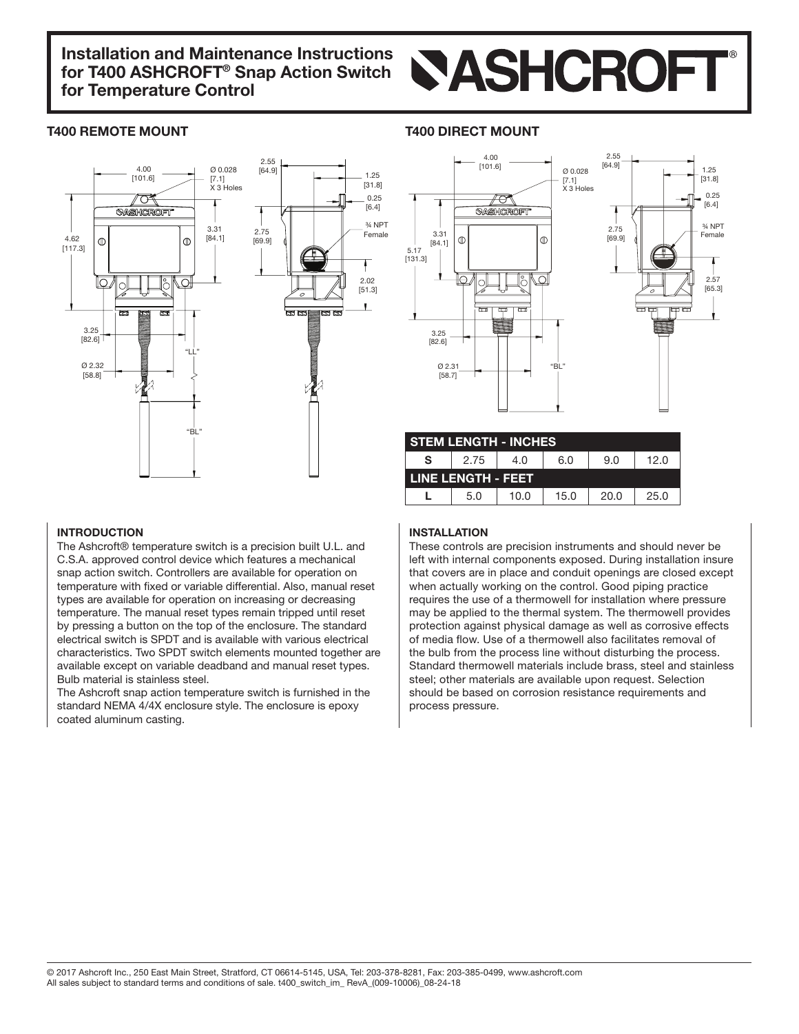

### T400 REMOTE MOUNT TAOO DIRECT MOUNT





| <b>STEM LENGTH - INCHES</b> |      |      |      |      |      |  |  |
|-----------------------------|------|------|------|------|------|--|--|
| S                           | 2.75 | 4.N  | 6.0  | 9.0  | 12.0 |  |  |
| LINE LENGTH - FEET          |      |      |      |      |      |  |  |
|                             | 5.0  | 10.0 | 15.0 | 20.0 | 25.0 |  |  |

#### INTRODUCTION

The Ashcroft® temperature switch is a precision built U.L. and C.S.A. approved control device which features a mechanical snap action switch. Controllers are available for operation on temperature with fixed or variable differential. Also, manual reset types are available for operation on increasing or decreasing temperature. The manual reset types remain tripped until reset by pressing a button on the top of the enclosure. The standard electrical switch is SPDT and is available with various electrical characteristics. Two SPDT switch elements mounted together are available except on variable deadband and manual reset types. Bulb material is stainless steel.

The Ashcroft snap action temperature switch is furnished in the standard NEMA 4/4X enclosure style. The enclosure is epoxy coated aluminum casting.

#### INSTALLATION

These controls are precision instruments and should never be left with internal components exposed. During installation insure that covers are in place and conduit openings are closed except when actually working on the control. Good piping practice requires the use of a thermowell for installation where pressure may be applied to the thermal system. The thermowell provides protection against physical damage as well as corrosive effects of media flow. Use of a thermowell also facilitates removal of the bulb from the process line without disturbing the process. Standard thermowell materials include brass, steel and stainless steel: other materials are available upon request. Selection should be based on corrosion resistance requirements and process pressure.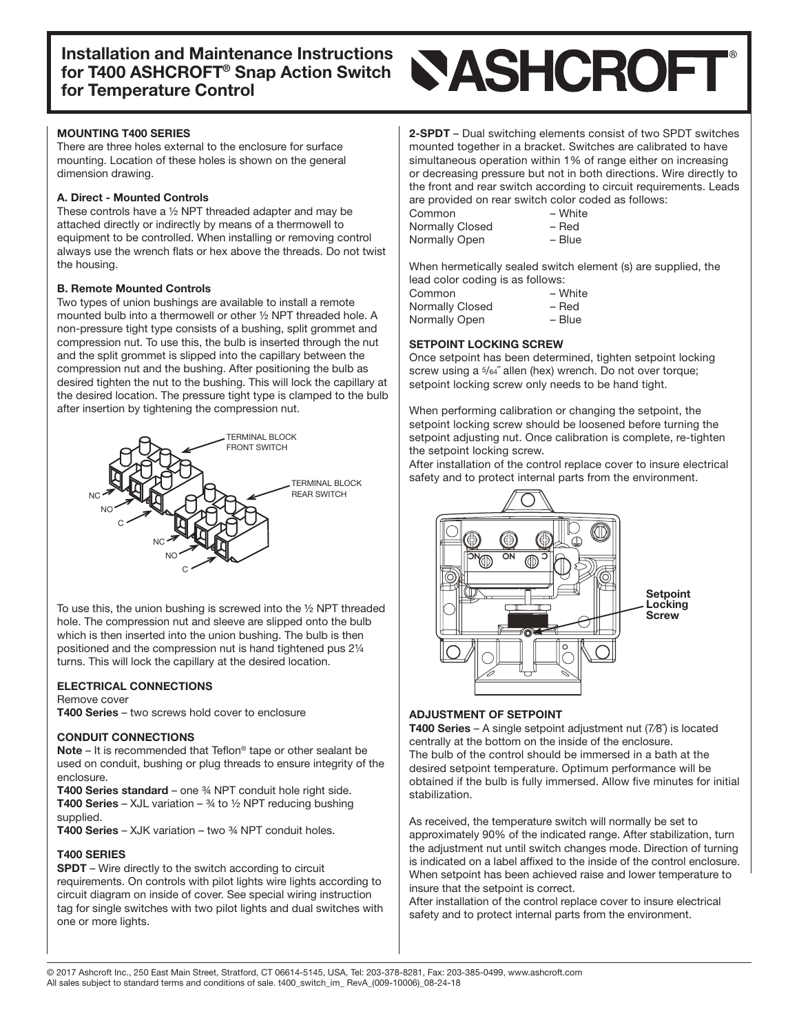#### **MOUNTING T400 SERIES**

There are three holes external to the enclosure for surface mounting. Location of these holes is shown on the general dimension drawing.

#### A. Direct - Mounted Controls

These controls have a  $\frac{1}{2}$  NPT threaded adapter and may be attached directly or indirectly by means of a thermowell to equipment to be controlled. When installing or removing control always use the wrench flats or hex above the threads. Do not twist the housing.

#### **B. Remote Mounted Controls**

Two types of union bushings are available to install a remote mounted bulb into a thermowell or other 1/2 NPT threaded hole. A non-pressure tight type consists of a bushing, split grommet and compression nut. To use this, the bulb is inserted through the nut and the split grommet is slipped into the capillary between the compression nut and the bushing. After positioning the bulb as desired tighten the nut to the bushing. This will lock the capillary at the desired location. The pressure tight type is clamped to the bulb after insertion by tightening the compression nut.



To use this, the union bushing is screwed into the  $\frac{1}{2}$  NPT threaded hole. The compression nut and sleeve are slipped onto the bulb which is then inserted into the union bushing. The bulb is then positioned and the compression nut is hand tightened pus 21/4 turns. This will lock the capillary at the desired location.

#### **ELECTRICAL CONNECTIONS**

#### Remove cover

T400 Series – two screws hold cover to enclosure

#### **CONDUIT CONNECTIONS**

**Note** – It is recommended that Teflon<sup>®</sup> tape or other sealant be used on conduit, bushing or plug threads to ensure integrity of the .enclosure

**T400 Series standard** – one  $\frac{3}{4}$  NPT conduit hole right side. **T400 Series** – XJL variation –  $\frac{3}{4}$  to  $\frac{1}{2}$  NPT reducing bushing supplied.

**T400 Series – XJK variation – two**  $\frac{3}{4}$  **NPT conduit holes.** 

#### **T400 SERIES**

SPDT – Wire directly to the switch according to circuit requirements. On controls with pilot lights wire lights according to circuit diagram on inside of cover. See special wiring instruction tag for single switches with two pilot lights and dual switches with one or more lights.

# **NASHCROFT**

2-SPDT - Dual switching elements consist of two SPDT switches mounted together in a bracket. Switches are calibrated to have simultaneous operation within 1% of range either on increasing or decreasing pressure but not in both directions. Wire directly to the front and rear switch according to circuit requirements. Leads are provided on rear switch color coded as follows:

| Common          | – White |
|-----------------|---------|
| Normally Closed | – Red   |
| Normally Open   | - Blue  |

When hermetically sealed switch element (s) are supplied, the lead color coding is as follows:

| Common          | – White  |
|-----------------|----------|
| Normally Closed | – Red    |
| Normally Open   | $-$ Blue |

#### **SETPOINT LOCKING SCREW**

Once setpoint has been determined, tighten setpoint locking screw using a  $5/64$ " allen (hex) wrench. Do not over torque; setpoint locking screw only needs to be hand tight.

When performing calibration or changing the setpoint, the setpoint locking screw should be loosened before turning the setpoint adjusting nut. Once calibration is complete, re-tighten the setpoint locking screw.

After installation of the control replace cover to insure electrical safety and to protect internal parts from the environment.



#### **ADJUSTMENT OF SETPOINT**

**T400 Series** – A single setpoint adjustment nut  $(7/8)$  is located centrally at the bottom on the inside of the enclosure. The bulb of the control should be immersed in a bath at the desired setpoint temperature. Optimum performance will be obtained if the bulb is fully immersed. Allow five minutes for initial .stabilization

As received, the temperature switch will normally be set to approximately 90% of the indicated range. After stabilization, turn the adjustment nut until switch changes mode. Direction of turning is indicated on a label affixed to the inside of the control enclosure. When setpoint has been achieved raise and lower temperature to insure that the setpoint is correct.

After installation of the control replace cover to insure electrical safety and to protect internal parts from the environment.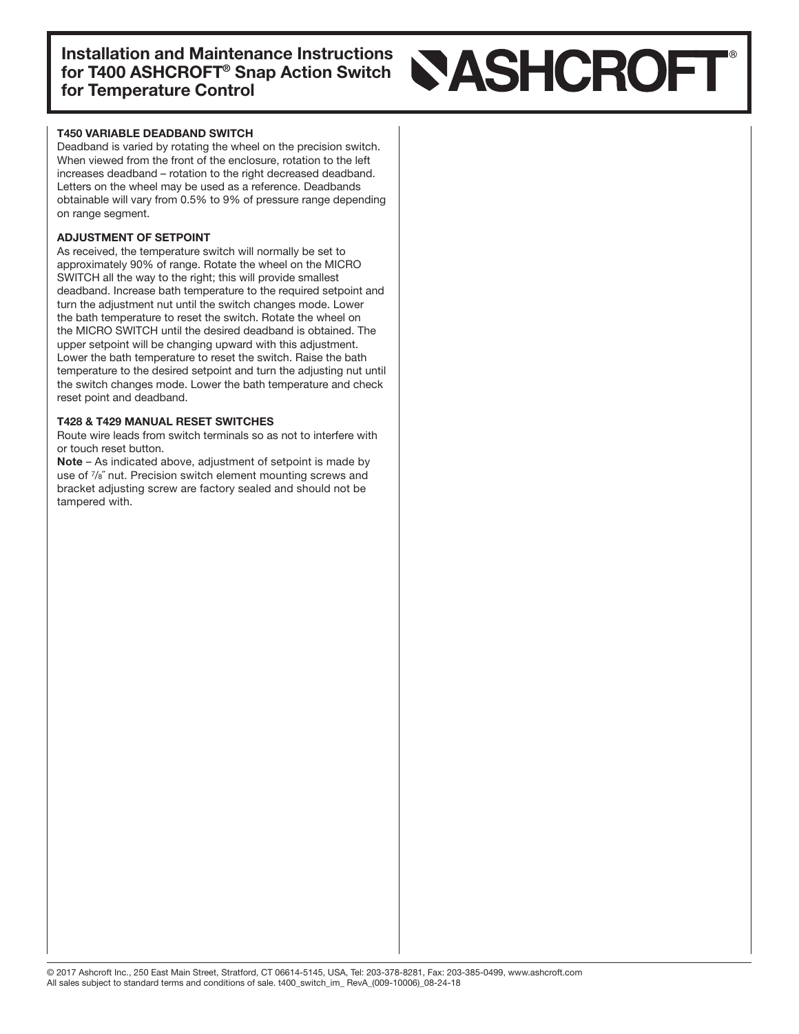# **SASHCROFT**

#### T450 VARIABLE DEADBAND SWITCH

Deadband is varied by rotating the wheel on the precision switch. When viewed from the front of the enclosure, rotation to the left increases deadband – rotation to the right decreased deadband. Letters on the wheel may be used as a reference. Deadbands obtainable will vary from 0.5% to 9% of pressure range depending on range segment.

#### ADJUSTMENT OF SETPOINT

As received, the temperature switch will normally be set to approximately 90% of range. Rotate the wheel on the MICRO SWITCH all the way to the right; this will provide smallest deadband. Increase bath temperature to the required setpoint and turn the adjustment nut until the switch changes mode. Lower the bath temperature to reset the switch. Rotate the wheel on the MICRO SWITCH until the desired deadband is obtained. The upper setpoint will be changing upward with this adjustment. Lower the bath temperature to reset the switch. Raise the bath temperature to the desired setpoint and turn the adjusting nut until the switch changes mode. Lower the bath temperature and check reset point and deadband.

#### T428 & T429 MANUAL RESET SWITCHES

Route wire leads from switch terminals so as not to interfere with or touch reset button.

Note – As indicated above, adjustment of setpoint is made by use of  $\frac{7}{8}$ " nut. Precision switch element mounting screws and bracket adjusting screw are factory sealed and should not be tampered with.